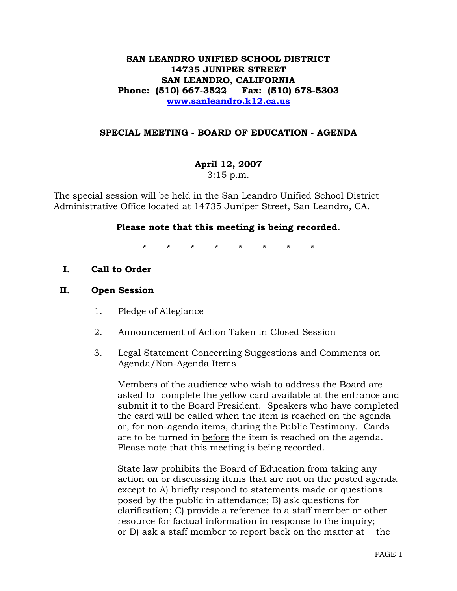# **SAN LEANDRO UNIFIED SCHOOL DISTRICT 14735 JUNIPER STREET SAN LEANDRO, CALIFORNIA Phone: (510) 667-3522 Fax: (510) 678-5303 www.sanleandro.k12.ca.us**

### **SPECIAL MEETING - BOARD OF EDUCATION - AGENDA**

# **April 12, 2007**

3:15 p.m.

The special session will be held in the San Leandro Unified School District Administrative Office located at 14735 Juniper Street, San Leandro, CA.

### **Please note that this meeting is being recorded.**

\* \* \* \* \* \* \* \*

**I. Call to Order** 

#### **II. Open Session**

- 1. Pledge of Allegiance
- 2. Announcement of Action Taken in Closed Session
- 3. Legal Statement Concerning Suggestions and Comments on Agenda/Non-Agenda Items

 Members of the audience who wish to address the Board are asked to complete the yellow card available at the entrance and submit it to the Board President. Speakers who have completed the card will be called when the item is reached on the agenda or, for non-agenda items, during the Public Testimony. Cards are to be turned in before the item is reached on the agenda. Please note that this meeting is being recorded.

 State law prohibits the Board of Education from taking any action on or discussing items that are not on the posted agenda except to A) briefly respond to statements made or questions posed by the public in attendance; B) ask questions for clarification; C) provide a reference to a staff member or other resource for factual information in response to the inquiry; or D) ask a staff member to report back on the matter at the